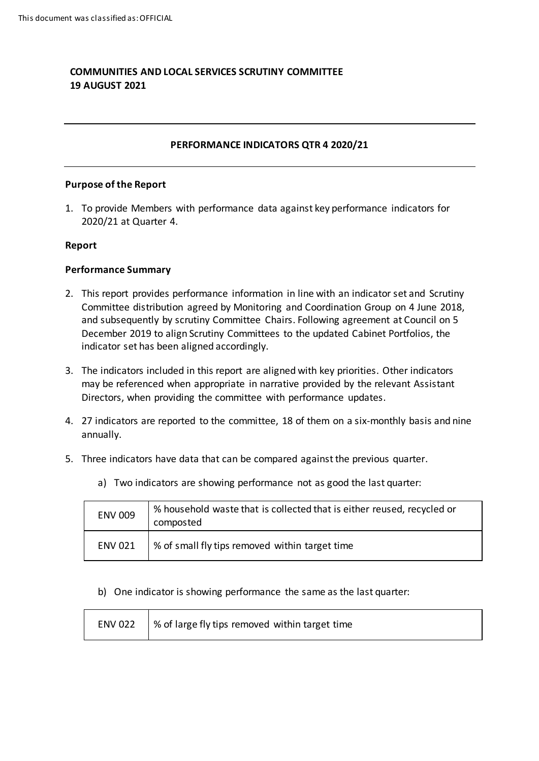# **COMMUNITIES AND LOCAL SERVICES SCRUTINY COMMITTEE 19 AUGUST 2021**

## **PERFORMANCE INDICATORS QTR 4 2020/21**

#### **Purpose of the Report**

1. To provide Members with performance data against key performance indicators for 2020/21 at Quarter 4.

#### **Report**

#### **Performance Summary**

- 2. This report provides performance information in line with an indicator set and Scrutiny Committee distribution agreed by Monitoring and Coordination Group on 4 June 2018, and subsequently by scrutiny Committee Chairs. Following agreement at Council on 5 December 2019 to align Scrutiny Committees to the updated Cabinet Portfolios, the indicator set has been aligned accordingly.
- 3. The indicators included in this report are aligned with key priorities. Other indicators may be referenced when appropriate in narrative provided by the relevant Assistant Directors, when providing the committee with performance updates.
- 4. 27 indicators are reported to the committee, 18 of them on a six-monthly basis and nine annually.
- 5. Three indicators have data that can be compared against the previous quarter.

| <b>ENV 009</b> | % household waste that is collected that is either reused, recycled or<br>composted |
|----------------|-------------------------------------------------------------------------------------|
| <b>ENV 021</b> | % of small fly tips removed within target time                                      |

a) Two indicators are showing performance not as good the last quarter:

b) One indicator is showing performance the same as the last quarter:

| ENV 022 $\frac{1}{2}$ % of large fly tips removed within target time |
|----------------------------------------------------------------------|
|                                                                      |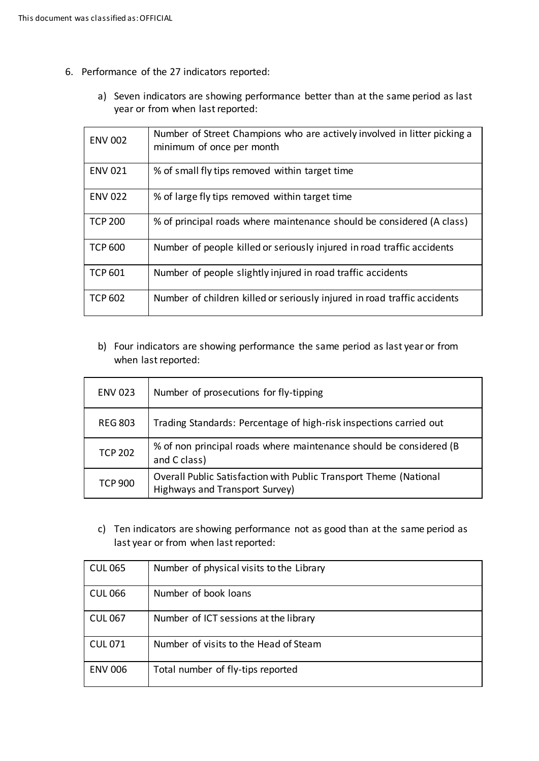- 6. Performance of the 27 indicators reported:
	- a) Seven indicators are showing performance better than at the same period as last year or from when last reported:

| <b>ENV 002</b> | Number of Street Champions who are actively involved in litter picking a<br>minimum of once per month |
|----------------|-------------------------------------------------------------------------------------------------------|
| <b>ENV 021</b> | % of small fly tips removed within target time                                                        |
| <b>ENV 022</b> | % of large fly tips removed within target time                                                        |
| <b>TCP 200</b> | % of principal roads where maintenance should be considered (A class)                                 |
| <b>TCP 600</b> | Number of people killed or seriously injured in road traffic accidents                                |
| <b>TCP 601</b> | Number of people slightly injured in road traffic accidents                                           |
| <b>TCP 602</b> | Number of children killed or seriously injured in road traffic accidents                              |

b) Four indicators are showing performance the same period as last year or from when last reported:

| <b>ENV 023</b> | Number of prosecutions for fly-tipping                                                              |
|----------------|-----------------------------------------------------------------------------------------------------|
| <b>REG 803</b> | Trading Standards: Percentage of high-risk inspections carried out                                  |
| <b>TCP 202</b> | % of non principal roads where maintenance should be considered (B<br>and C class)                  |
| <b>TCP 900</b> | Overall Public Satisfaction with Public Transport Theme (National<br>Highways and Transport Survey) |

c) Ten indicators are showing performance not as good than at the same period as last year or from when last reported:

| <b>CUL 065</b> | Number of physical visits to the Library |
|----------------|------------------------------------------|
| <b>CUL 066</b> | Number of book loans                     |
| <b>CUL 067</b> | Number of ICT sessions at the library    |
| <b>CUL 071</b> | Number of visits to the Head of Steam    |
| <b>ENV 006</b> | Total number of fly-tips reported        |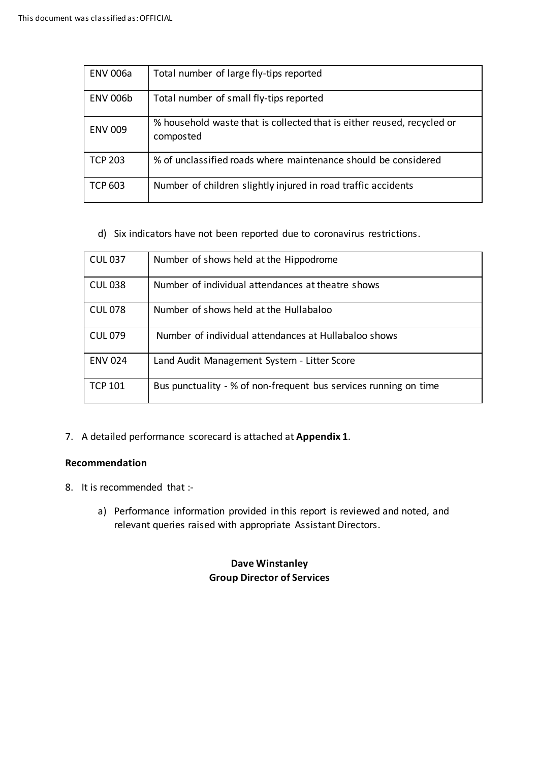| <b>ENV 006a</b> | Total number of large fly-tips reported                                             |
|-----------------|-------------------------------------------------------------------------------------|
| <b>ENV 006b</b> | Total number of small fly-tips reported                                             |
| <b>ENV 009</b>  | % household waste that is collected that is either reused, recycled or<br>composted |
| <b>TCP 203</b>  | % of unclassified roads where maintenance should be considered                      |
| <b>TCP 603</b>  | Number of children slightly injured in road traffic accidents                       |

d) Six indicators have not been reported due to coronavirus restrictions.

| <b>CUL 037</b> | Number of shows held at the Hippodrome                           |
|----------------|------------------------------------------------------------------|
| <b>CUL038</b>  | Number of individual attendances at theatre shows                |
| <b>CUL 078</b> | Number of shows held at the Hullabaloo                           |
| <b>CUL 079</b> | Number of individual attendances at Hullabaloo shows             |
| <b>ENV 024</b> | Land Audit Management System - Litter Score                      |
| <b>TCP 101</b> | Bus punctuality - % of non-frequent bus services running on time |

7. A detailed performance scorecard is attached at **Appendix 1**.

## **Recommendation**

- 8. It is recommended that :
	- a) Performance information provided in this report is reviewed and noted, and relevant queries raised with appropriate Assistant Directors.

# **Dave Winstanley Group Director of Services**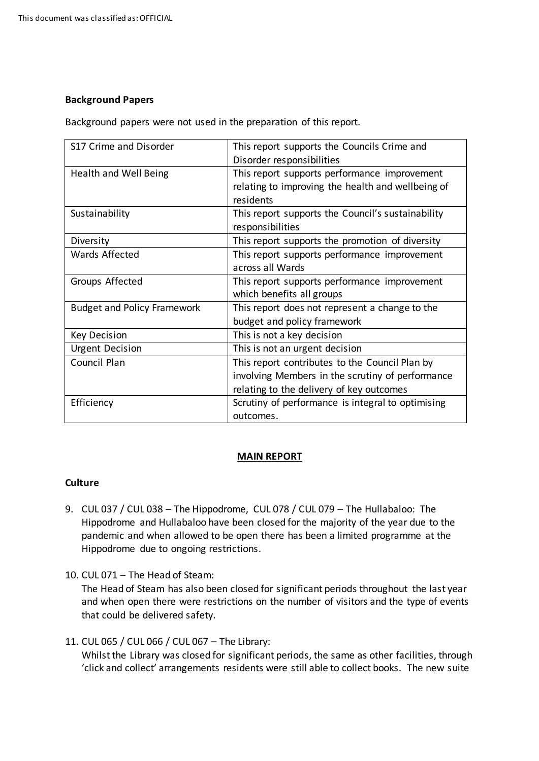## **Background Papers**

Background papers were not used in the preparation of this report.

| S17 Crime and Disorder             | This report supports the Councils Crime and       |
|------------------------------------|---------------------------------------------------|
|                                    | Disorder responsibilities                         |
| Health and Well Being              | This report supports performance improvement      |
|                                    | relating to improving the health and wellbeing of |
|                                    | residents                                         |
| Sustainability                     | This report supports the Council's sustainability |
|                                    | responsibilities                                  |
| Diversity                          | This report supports the promotion of diversity   |
| Wards Affected                     | This report supports performance improvement      |
|                                    | across all Wards                                  |
| Groups Affected                    | This report supports performance improvement      |
|                                    | which benefits all groups                         |
| <b>Budget and Policy Framework</b> | This report does not represent a change to the    |
|                                    | budget and policy framework                       |
| <b>Key Decision</b>                | This is not a key decision                        |
| <b>Urgent Decision</b>             | This is not an urgent decision                    |
| Council Plan                       | This report contributes to the Council Plan by    |
|                                    | involving Members in the scrutiny of performance  |
|                                    | relating to the delivery of key outcomes          |
| Efficiency                         | Scrutiny of performance is integral to optimising |
|                                    | outcomes.                                         |

## **MAIN REPORT**

## **Culture**

- 9. CUL 037 / CUL 038 The Hippodrome, CUL 078 / CUL 079 The Hullabaloo: The Hippodrome and Hullabaloo have been closed for the majority of the year due to the pandemic and when allowed to be open there has been a limited programme at the Hippodrome due to ongoing restrictions.
- 10. CUL 071 The Head of Steam:

The Head of Steam has also been closed for significant periods throughout the last year and when open there were restrictions on the number of visitors and the type of events that could be delivered safety.

## 11. CUL 065 / CUL 066 / CUL 067 – The Library:

Whilst the Library was closed for significant periods, the same as other facilities, through 'click and collect' arrangements residents were still able to collect books. The new suite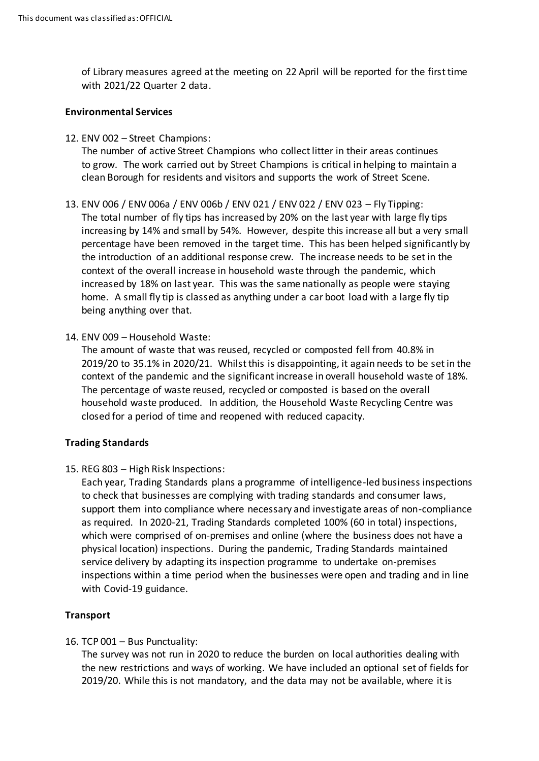of Library measures agreed at the meeting on 22 April will be reported for the first time with 2021/22 Quarter 2 data.

#### **Environmental Services**

12. ENV 002 – Street Champions:

The number of active Street Champions who collect litter in their areas continues to grow. The work carried out by Street Champions is critical in helping to maintain a clean Borough for residents and visitors and supports the work of Street Scene.

- 13. ENV 006 / ENV 006a / ENV 006b / ENV 021 / ENV 022 / ENV 023 Fly Tipping: The total number of fly tips has increased by 20% on the last year with large fly tips increasing by 14% and small by 54%. However, despite this increase all but a very small percentage have been removed in the target time. This has been helped significantly by the introduction of an additional response crew. The increase needs to be set in the context of the overall increase in household waste through the pandemic, which increased by 18% on last year. This was the same nationally as people were staying home. A small fly tip is classed as anything under a car boot load with a large fly tip being anything over that.
- 14. ENV 009 Household Waste:

The amount of waste that was reused, recycled or composted fell from 40.8% in 2019/20 to 35.1% in 2020/21. Whilst this is disappointing, it again needs to be set in the context of the pandemic and the significant increase in overall household waste of 18%. The percentage of waste reused, recycled or composted is based on the overall household waste produced. In addition, the Household Waste Recycling Centre was closed for a period of time and reopened with reduced capacity.

## **Trading Standards**

15. REG 803 – High Risk Inspections:

Each year, Trading Standards plans a programme of intelligence-led business inspections to check that businesses are complying with trading standards and consumer laws, support them into compliance where necessary and investigate areas of non-compliance as required. In 2020-21, Trading Standards completed 100% (60 in total) inspections, which were comprised of on-premises and online (where the business does not have a physical location) inspections. During the pandemic, Trading Standards maintained service delivery by adapting its inspection programme to undertake on-premises inspections within a time period when the businesses were open and trading and in line with Covid-19 guidance.

## **Transport**

16. TCP 001 – Bus Punctuality:

The survey was not run in 2020 to reduce the burden on local authorities dealing with the new restrictions and ways of working. We have included an optional set of fields for 2019/20. While this is not mandatory, and the data may not be available, where it is